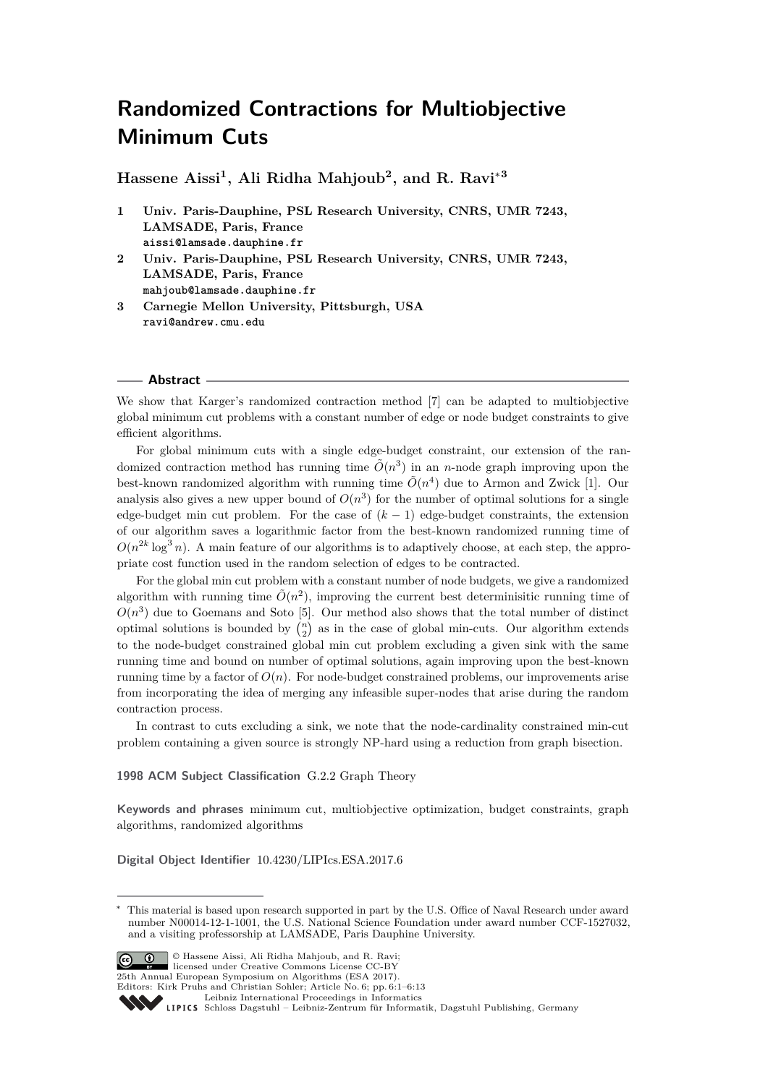# **Randomized Contractions for Multiobjective Minimum Cuts**

**Hassene Aissi<sup>1</sup> , Ali Ridha Mahjoub<sup>2</sup> , and R. Ravi**<sup>∗</sup>**<sup>3</sup>**

- **1 Univ. Paris-Dauphine, PSL Research University, CNRS, UMR 7243, LAMSADE, Paris, France aissi@lamsade.dauphine.fr**
- **2 Univ. Paris-Dauphine, PSL Research University, CNRS, UMR 7243, LAMSADE, Paris, France mahjoub@lamsade.dauphine.fr**
- **3 Carnegie Mellon University, Pittsburgh, USA ravi@andrew.cmu.edu**

#### **Abstract**

We show that Karger's randomized contraction method [\[7\]](#page-12-0) can be adapted to multiobjective global minimum cut problems with a constant number of edge or node budget constraints to give efficient algorithms.

For global minimum cuts with a single edge-budget constraint, our extension of the randomized contraction method has running time  $\tilde{O}(n^3)$  in an *n*-node graph improving upon the best-known randomized algorithm with running time  $\tilde{O}(n^4)$  due to Armon and Zwick [\[1\]](#page-11-0). Our analysis also gives a new upper bound of  $O(n^3)$  for the number of optimal solutions for a single edge-budget min cut problem. For the case of  $(k - 1)$  edge-budget constraints, the extension of our algorithm saves a logarithmic factor from the best-known randomized running time of  $O(n^{2k} \log^3 n)$ . A main feature of our algorithms is to adaptively choose, at each step, the appropriate cost function used in the random selection of edges to be contracted.

For the global min cut problem with a constant number of node budgets, we give a randomized algorithm with running time  $\tilde{O}(n^2)$ , improving the current best determinisitic running time of  $O(n^3)$  due to Goemans and Soto [\[5\]](#page-12-1). Our method also shows that the total number of distinct optimal solutions is bounded by  $\binom{n}{2}$  as in the case of global min-cuts. Our algorithm extends to the node-budget constrained global min cut problem excluding a given sink with the same running time and bound on number of optimal solutions, again improving upon the best-known running time by a factor of  $O(n)$ . For node-budget constrained problems, our improvements arise from incorporating the idea of merging any infeasible super-nodes that arise during the random contraction process.

In contrast to cuts excluding a sink, we note that the node-cardinality constrained min-cut problem containing a given source is strongly NP-hard using a reduction from graph bisection.

**1998 ACM Subject Classification** G.2.2 Graph Theory

**Keywords and phrases** minimum cut, multiobjective optimization, budget constraints, graph algorithms, randomized algorithms

**Digital Object Identifier** [10.4230/LIPIcs.ESA.2017.6](http://dx.doi.org/10.4230/LIPIcs.ESA.2017.6)

This material is based upon research supported in part by the U.S. Office of Naval Research under award number N00014-12-1-1001, the U.S. National Science Foundation under award number CCF-1527032, and a visiting professorship at LAMSADE, Paris Dauphine University.



© Hassene Aissi, Ali Ridha Mahjoub, and R. Ravi; licensed under Creative Commons License CC-BY

25th Annual European Symposium on Algorithms (ESA 2017).

Editors: Kirk Pruhs and Christian Sohler; Article No. 6; pp. 6:1–6[:13](#page-12-2) [Leibniz International Proceedings in Informatics](http://www.dagstuhl.de/lipics/)

Leibniz international ruceedings in miorimetric<br>
LIPICS [Schloss Dagstuhl – Leibniz-Zentrum für Informatik, Dagstuhl Publishing, Germany](http://www.dagstuhl.de)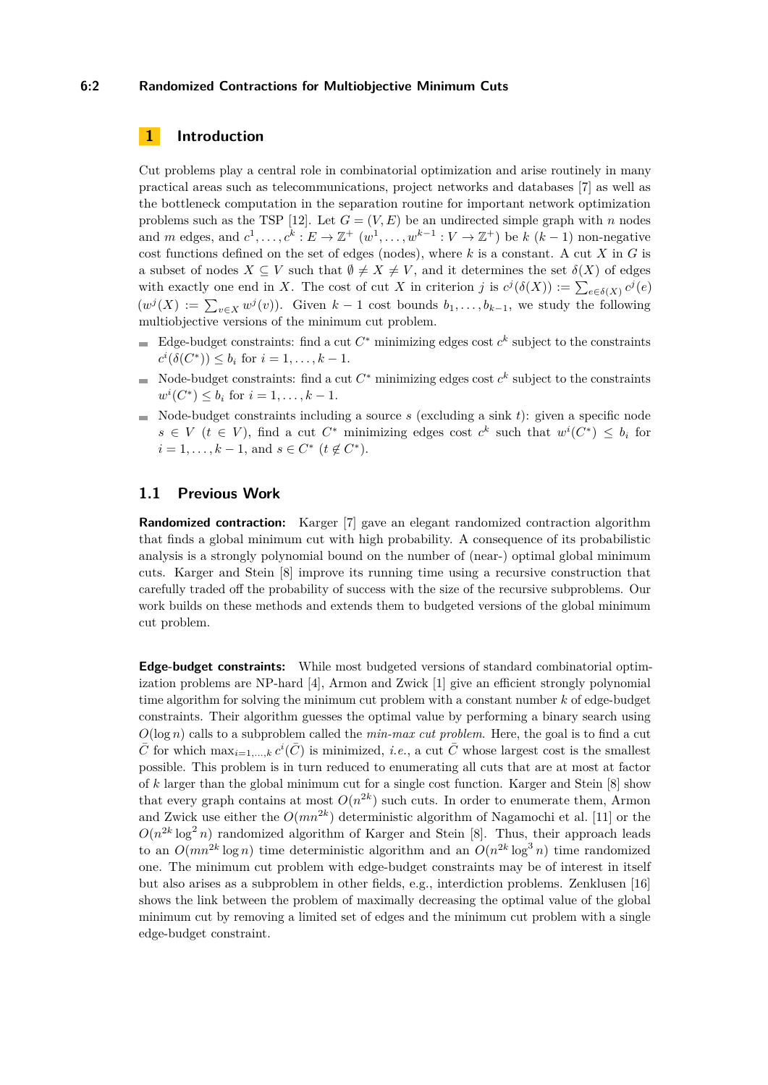### **6:2 Randomized Contractions for Multiobjective Minimum Cuts**

# **1 Introduction**

Cut problems play a central role in combinatorial optimization and arise routinely in many practical areas such as telecommunications, project networks and databases [\[7\]](#page-12-0) as well as the bottleneck computation in the separation routine for important network optimization problems such as the TSP [\[12\]](#page-12-3). Let  $G = (V, E)$  be an undirected simple graph with *n* nodes and *m* edges, and  $c^1, \ldots, c^k : E \to \mathbb{Z}^+$   $(w^1, \ldots, w^{k-1} : V \to \mathbb{Z}^+)$  be  $k (k-1)$  non-negative cost functions defined on the set of edges (nodes), where *k* is a constant. A cut *X* in *G* is a subset of nodes  $X \subseteq V$  such that  $\emptyset \neq X \neq V$ , and it determines the set  $\delta(X)$  of edges with exactly one end in *X*. The cost of cut *X* in criterion *j* is  $c^{j}(\delta(X)) := \sum_{e \in \delta(X)} c^{j}(e)$  $(w^{j}(X)) := \sum_{v \in X} w^{j}(v)$ . Given  $k-1$  cost bounds  $b_1, \ldots, b_{k-1}$ , we study the following multiobjective versions of the minimum cut problem.

- Edge-budget constraints: find a cut  $C^*$  minimizing edges cost  $c^k$  subject to the constraints  $c^{i}(\delta(C^{*})) \leq b_{i}$  for  $i = 1, ..., k - 1$ .
- Node-budget constraints: find a cut  $C^*$  minimizing edges cost  $c^k$  subject to the constraints  $w^{i}(C^{*}) \leq b_{i}$  for  $i = 1, ..., k - 1$ .
- $\blacksquare$  Node-budget constraints including a source *s* (excluding a sink *t*): given a specific node  $s \in V$  ( $t \in V$ ), find a cut  $C^*$  minimizing edges cost  $c^k$  such that  $w^i(C^*) \leq b_i$  for  $i = 1, \ldots, k - 1$ , and  $s \in C^*$  ( $t \notin C^*$ ).

# **1.1 Previous Work**

**Randomized contraction:** Karger [\[7\]](#page-12-0) gave an elegant randomized contraction algorithm that finds a global minimum cut with high probability. A consequence of its probabilistic analysis is a strongly polynomial bound on the number of (near-) optimal global minimum cuts. Karger and Stein [\[8\]](#page-12-4) improve its running time using a recursive construction that carefully traded off the probability of success with the size of the recursive subproblems. Our work builds on these methods and extends them to budgeted versions of the global minimum cut problem.

**Edge-budget constraints:** While most budgeted versions of standard combinatorial optimization problems are NP-hard [\[4\]](#page-12-5), Armon and Zwick [\[1\]](#page-11-0) give an efficient strongly polynomial time algorithm for solving the minimum cut problem with a constant number *k* of edge-budget constraints. Their algorithm guesses the optimal value by performing a binary search using *O*(log *n*) calls to a subproblem called the *min-max cut problem*. Here, the goal is to find a cut  $\bar{C}$  for which  $\max_{i=1,\dots,k} c^i(\bar{C})$  is minimized, *i.e.*, a cut  $\bar{C}$  whose largest cost is the smallest possible. This problem is in turn reduced to enumerating all cuts that are at most at factor of *k* larger than the global minimum cut for a single cost function. Karger and Stein [\[8\]](#page-12-4) show that every graph contains at most  $O(n^{2k})$  such cuts. In order to enumerate them, Armon and Zwick use either the *O*(*mn*<sup>2</sup>*<sup>k</sup>* ) deterministic algorithm of Nagamochi et al. [\[11\]](#page-12-6) or the  $O(n^{2k} \log^2 n)$  randomized algorithm of Karger and Stein [\[8\]](#page-12-4). Thus, their approach leads to an  $O(mn^{2k} \log n)$  time deterministic algorithm and an  $O(n^{2k} \log^3 n)$  time randomized one. The minimum cut problem with edge-budget constraints may be of interest in itself but also arises as a subproblem in other fields, e.g., interdiction problems. Zenklusen [\[16\]](#page-12-7) shows the link between the problem of maximally decreasing the optimal value of the global minimum cut by removing a limited set of edges and the minimum cut problem with a single edge-budget constraint.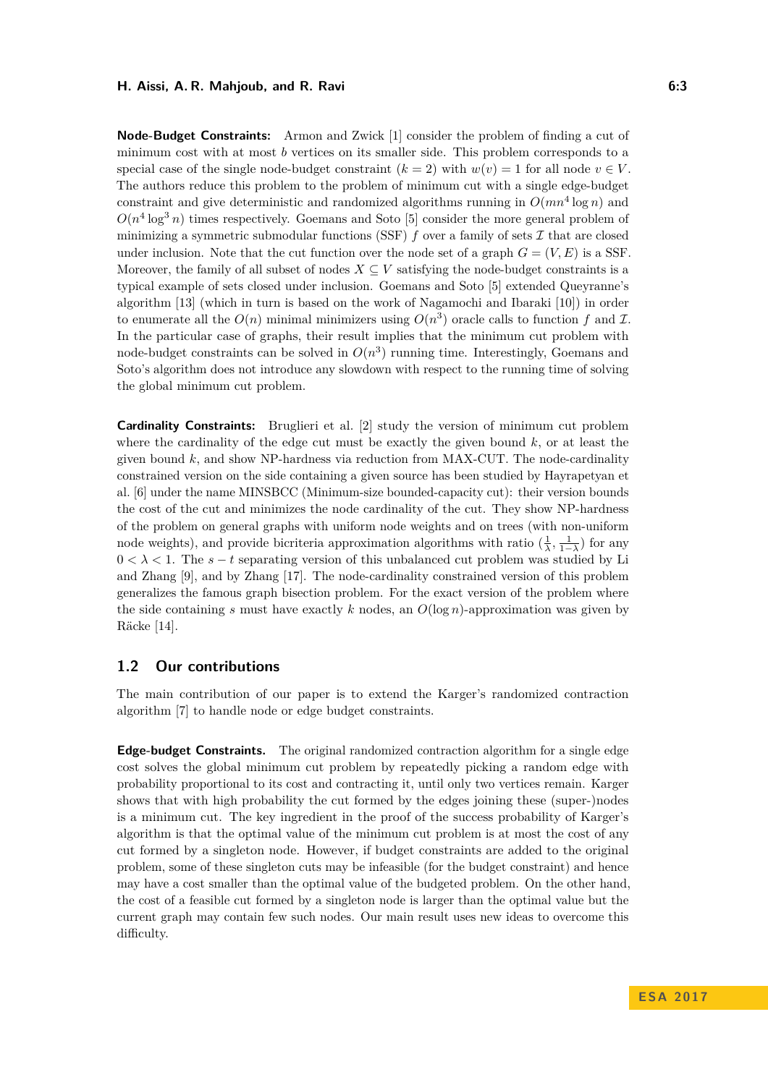#### **H. Aissi, A. R. Mahjoub, and R. Ravi 6:3**

**Node-Budget Constraints:** Armon and Zwick [\[1\]](#page-11-0) consider the problem of finding a cut of minimum cost with at most *b* vertices on its smaller side. This problem corresponds to a special case of the single node-budget constraint  $(k = 2)$  with  $w(v) = 1$  for all node  $v \in V$ . The authors reduce this problem to the problem of minimum cut with a single edge-budget constraint and give deterministic and randomized algorithms running in  $O(mn^4 \log n)$  and  $O(n^4 \log^3 n)$  times respectively. Goemans and Soto [\[5\]](#page-12-1) consider the more general problem of minimizing a symmetric submodular functions (SSF)  $f$  over a family of sets  $\mathcal I$  that are closed under inclusion. Note that the cut function over the node set of a graph  $G = (V, E)$  is a SSF. Moreover, the family of all subset of nodes  $X \subseteq V$  satisfying the node-budget constraints is a typical example of sets closed under inclusion. Goemans and Soto [\[5\]](#page-12-1) extended Queyranne's algorithm [\[13\]](#page-12-8) (which in turn is based on the work of Nagamochi and Ibaraki [\[10\]](#page-12-9)) in order to enumerate all the  $O(n)$  minimal minimizers using  $O(n^3)$  oracle calls to function f and I. In the particular case of graphs, their result implies that the minimum cut problem with node-budget constraints can be solved in  $O(n^3)$  running time. Interestingly, Goemans and Soto's algorithm does not introduce any slowdown with respect to the running time of solving the global minimum cut problem.

**Cardinality Constraints:** Bruglieri et al. [\[2\]](#page-12-10) study the version of minimum cut problem where the cardinality of the edge cut must be exactly the given bound *k*, or at least the given bound  $k$ , and show NP-hardness via reduction from  $MAX-CUT$ . The node-cardinality constrained version on the side containing a given source has been studied by Hayrapetyan et al. [\[6\]](#page-12-11) under the name MINSBCC (Minimum-size bounded-capacity cut): their version bounds the cost of the cut and minimizes the node cardinality of the cut. They show NP-hardness of the problem on general graphs with uniform node weights and on trees (with non-uniform node weights), and provide bicriteria approximation algorithms with ratio  $(\frac{1}{\lambda}, \frac{1}{1-\lambda})$  for any  $0 < \lambda < 1$ . The  $s - t$  separating version of this unbalanced cut problem was studied by Li and Zhang [\[9\]](#page-12-12), and by Zhang [\[17\]](#page-12-13). The node-cardinality constrained version of this problem generalizes the famous graph bisection problem. For the exact version of the problem where the side containing *s* must have exactly *k* nodes, an *O*(log *n*)-approximation was given by Räcke [\[14\]](#page-12-14).

# **1.2 Our contributions**

The main contribution of our paper is to extend the Karger's randomized contraction algorithm [\[7\]](#page-12-0) to handle node or edge budget constraints.

**Edge-budget Constraints.** The original randomized contraction algorithm for a single edge cost solves the global minimum cut problem by repeatedly picking a random edge with probability proportional to its cost and contracting it, until only two vertices remain. Karger shows that with high probability the cut formed by the edges joining these (super-)nodes is a minimum cut. The key ingredient in the proof of the success probability of Karger's algorithm is that the optimal value of the minimum cut problem is at most the cost of any cut formed by a singleton node. However, if budget constraints are added to the original problem, some of these singleton cuts may be infeasible (for the budget constraint) and hence may have a cost smaller than the optimal value of the budgeted problem. On the other hand, the cost of a feasible cut formed by a singleton node is larger than the optimal value but the current graph may contain few such nodes. Our main result uses new ideas to overcome this difficulty.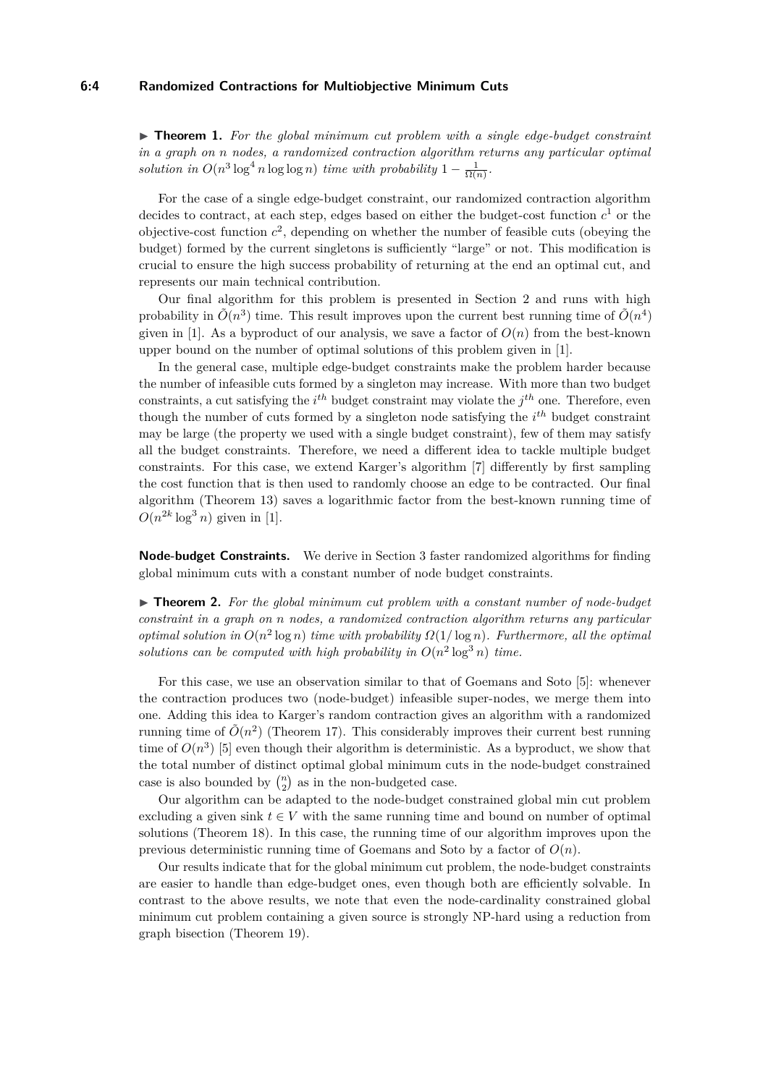#### **6:4 Randomized Contractions for Multiobjective Minimum Cuts**

<span id="page-3-0"></span>▶ **Theorem 1.** For the global minimum cut problem with a single edge-budget constraint *in a graph on n nodes, a randomized contraction algorithm returns any particular optimal* solution in  $O(n^3 \log^4 n \log \log n)$  *time with probability*  $1 - \frac{1}{\Omega(n)}$ .

For the case of a single edge-budget constraint, our randomized contraction algorithm decides to contract, at each step, edges based on either the budget-cost function  $c<sup>1</sup>$  or the objective-cost function  $c^2$ , depending on whether the number of feasible cuts (obeying the budget) formed by the current singletons is sufficiently "large" or not. This modification is crucial to ensure the high success probability of returning at the end an optimal cut, and represents our main technical contribution.

Our final algorithm for this problem is presented in Section [2](#page-4-0) and runs with high probability in  $\tilde{O}(n^3)$  time. This result improves upon the current best running time of  $\tilde{O}(n^4)$ given in [\[1\]](#page-11-0). As a byproduct of our analysis, we save a factor of  $O(n)$  from the best-known upper bound on the number of optimal solutions of this problem given in [\[1\]](#page-11-0).

In the general case, multiple edge-budget constraints make the problem harder because the number of infeasible cuts formed by a singleton may increase. With more than two budget constraints, a cut satisfying the  $i^{th}$  budget constraint may violate the  $j^{th}$  one. Therefore, even though the number of cuts formed by a singleton node satisfying the *i th* budget constraint may be large (the property we used with a single budget constraint), few of them may satisfy all the budget constraints. Therefore, we need a different idea to tackle multiple budget constraints. For this case, we extend Karger's algorithm [\[7\]](#page-12-0) differently by first sampling the cost function that is then used to randomly choose an edge to be contracted. Our final algorithm (Theorem [13\)](#page-9-0) saves a logarithmic factor from the best-known running time of  $O(n^{2k} \log^3 n)$  given in [\[1\]](#page-11-0).

**Node-budget Constraints.** We derive in Section [3](#page-9-1) faster randomized algorithms for finding global minimum cuts with a constant number of node budget constraints.

<span id="page-3-1"></span>► **Theorem 2.** For the global minimum cut problem with a constant number of node-budget *constraint in a graph on n nodes, a randomized contraction algorithm returns any particular optimal solution in*  $O(n^2 \log n)$  *time with probability*  $\Omega(1/\log n)$ *. Furthermore, all the optimal* solutions can be computed with high probability in  $O(n^2 \log^3 n)$  time.

For this case, we use an observation similar to that of Goemans and Soto [\[5\]](#page-12-1): whenever the contraction produces two (node-budget) infeasible super-nodes, we merge them into one. Adding this idea to Karger's random contraction gives an algorithm with a randomized running time of  $\tilde{O}(n^2)$  (Theorem [17\)](#page-11-1). This considerably improves their current best running time of  $O(n^3)$  [\[5\]](#page-12-1) even though their algorithm is deterministic. As a byproduct, we show that the total number of distinct optimal global minimum cuts in the node-budget constrained case is also bounded by  $\binom{n}{2}$  as in the non-budgeted case.

Our algorithm can be adapted to the node-budget constrained global min cut problem excluding a given sink  $t \in V$  with the same running time and bound on number of optimal solutions (Theorem [18\)](#page-11-2). In this case, the running time of our algorithm improves upon the previous deterministic running time of Goemans and Soto by a factor of *O*(*n*).

Our results indicate that for the global minimum cut problem, the node-budget constraints are easier to handle than edge-budget ones, even though both are efficiently solvable. In contrast to the above results, we note that even the node-cardinality constrained global minimum cut problem containing a given source is strongly NP-hard using a reduction from graph bisection (Theorem [19\)](#page-11-3).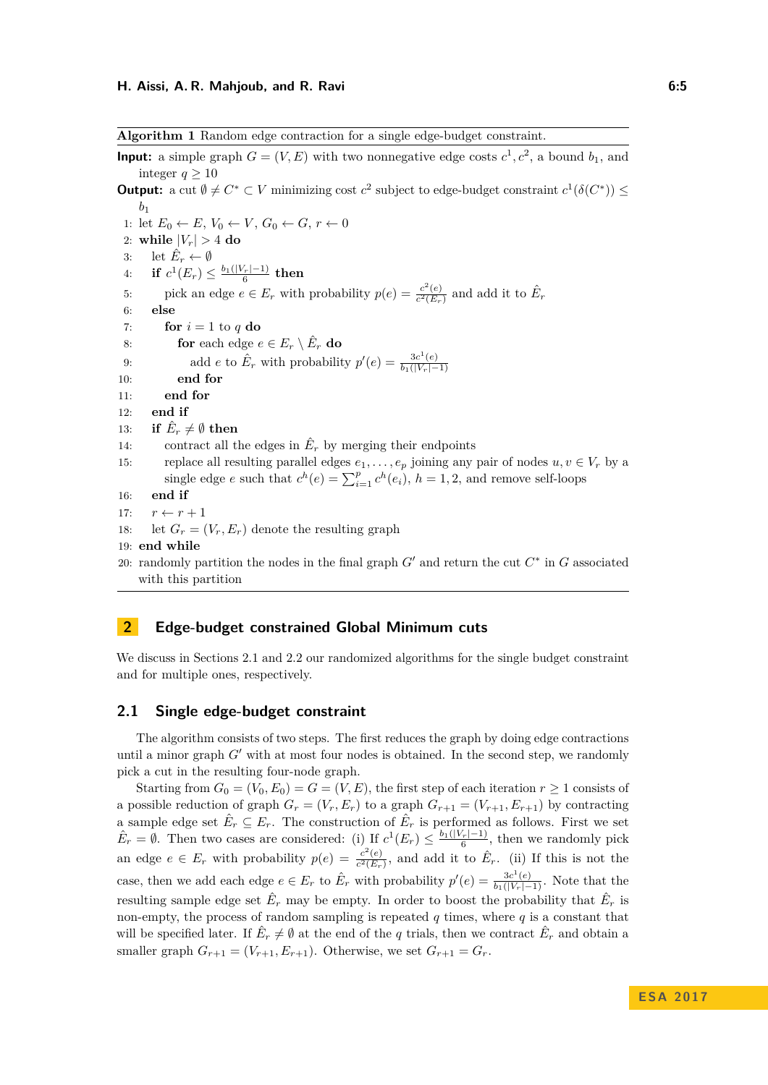<span id="page-4-2"></span>**Algorithm 1** Random edge contraction for a single edge-budget constraint.

<span id="page-4-3"></span>**Input:** a simple graph  $G = (V, E)$  with two nonnegative edge costs  $c^1, c^2$ , a bound  $b_1$ , and integer  $q \geq 10$ **Output:** a cut  $\emptyset \neq C^* \subset V$  minimizing cost  $c^2$  subject to edge-budget constraint  $c^1(\delta(C^*)) \leq$ *b*1 1: let  $E_0 \leftarrow E$ ,  $V_0 \leftarrow V$ ,  $G_0 \leftarrow G$ ,  $r \leftarrow 0$ 2: while  $|V_r| > 4$  do 3: let  $\hat{E}_r \leftarrow \emptyset$  $4:$  **if**  $c^1(E_r) \leq \frac{b_1(|V_r|-1)}{6}$  then 5: pick an edge  $e \in E_r$  with probability  $p(e) = \frac{c^2(e)}{c^2(E_r)}$  $\frac{c^2(e)}{c^2(E_r)}$  and add it to  $\hat{E}_r$ 6: **else** 7: **for**  $i = 1$  to  $q$  do 8: **for** each edge  $e \in E_r \setminus \hat{E}_r$  **do** 9: add *e* to  $\hat{E}_r$  with probability  $p'(e) = \frac{3c^1(e)}{b_1(|V_n|)}$  $b_1(|V_r|-1)$ 10: **end for** 11: **end for** 12: **end if** 13: **if**  $\hat{E}_r \neq \emptyset$  then 14: contract all the edges in  $\hat{E}_r$  by merging their endpoints 15: replace all resulting parallel edges  $e_1, \ldots, e_p$  joining any pair of nodes  $u, v \in V_r$  by a single edge *e* such that  $c^h(e) = \sum_{i=1}^p c^h(e_i)$ ,  $h = 1, 2$ , and remove self-loops 16: **end if** 17:  $r \leftarrow r + 1$ 18: let  $G_r = (V_r, E_r)$  denote the resulting graph 19: **end while** 20: randomly partition the nodes in the final graph  $G'$  and return the cut  $C^*$  in  $G$  associated with this partition

# <span id="page-4-0"></span>**2 Edge-budget constrained Global Minimum cuts**

We discuss in Sections [2.1](#page-4-1) and [2.2](#page-8-0) our randomized algorithms for the single budget constraint and for multiple ones, respectively.

### <span id="page-4-1"></span>**2.1 Single edge-budget constraint**

The algorithm consists of two steps. The first reduces the graph by doing edge contractions until a minor graph  $G'$  with at most four nodes is obtained. In the second step, we randomly pick a cut in the resulting four-node graph.

Starting from  $G_0 = (V_0, E_0) = G = (V, E)$ , the first step of each iteration  $r \ge 1$  consists of a possible reduction of graph  $G_r = (V_r, E_r)$  to a graph  $G_{r+1} = (V_{r+1}, E_{r+1})$  by contracting a sample edge set  $\hat{E}_r \subseteq E_r$ . The construction of  $\hat{E}_r$  is performed as follows. First we set  $\hat{E}_r = \emptyset$ . Then two cases are considered: (i) If  $c^1(E_r) \leq \frac{b_1(|V_r|-1)}{6}$ , then we randomly pick an edge  $e \in E_r$  with probability  $p(e) = \frac{c^2(e)}{c^2(E_r)}$  $\frac{c^2(e)}{c^2(E_r)}$ , and add it to  $\hat{E}_r$ . (ii) If this is not the case, then we add each edge  $e \in E_r$  to  $\hat{E}_r$  with probability  $p'(e) = \frac{3c^1(e)}{b_1(|V_r|-1)}$ . Note that the resulting sample edge set  $\hat{E}_r$  may be empty. In order to boost the probability that  $\hat{E}_r$  is non-empty, the process of random sampling is repeated  $q$  times, where  $q$  is a constant that will be specified later. If  $\hat{E}_r \neq \emptyset$  at the end of the *q* trials, then we contract  $\hat{E}_r$  and obtain a smaller graph  $G_{r+1} = (V_{r+1}, E_{r+1})$ . Otherwise, we set  $G_{r+1} = G_r$ .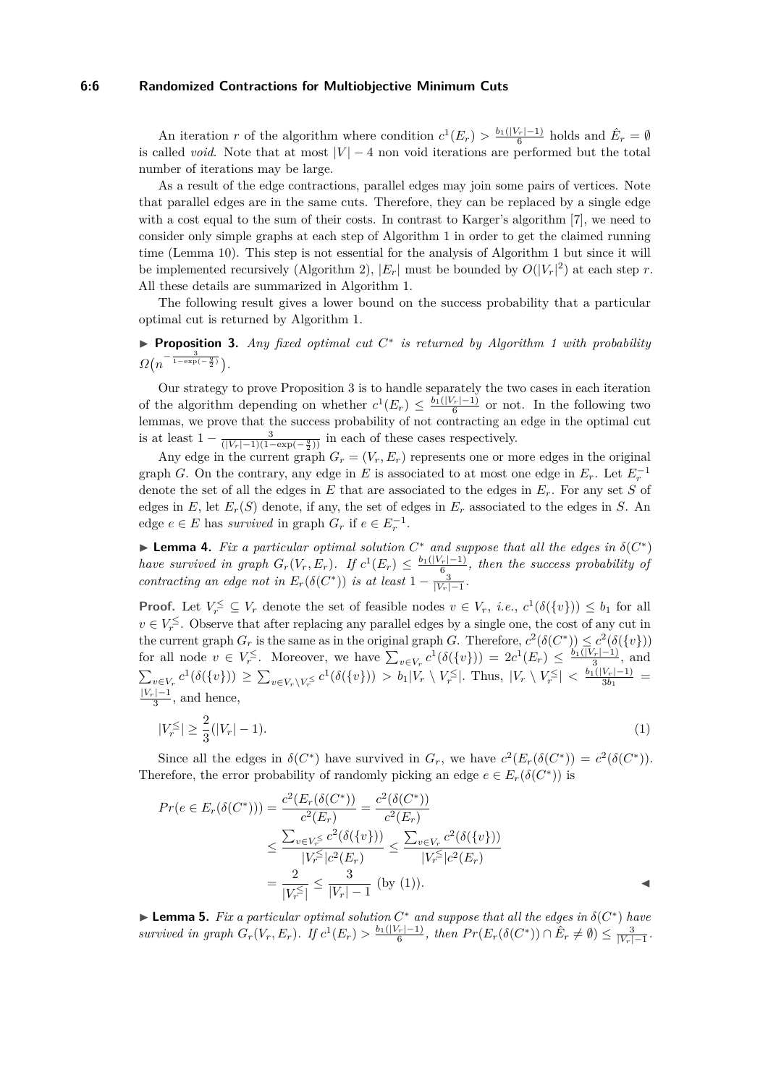#### **6:6 Randomized Contractions for Multiobjective Minimum Cuts**

An iteration *r* of the algorithm where condition  $c^1(E_r) > \frac{b_1(|V_r|-1)}{6}$  holds and  $\hat{E}_r = \emptyset$ is called *void*. Note that at most  $|V| - 4$  non void iterations are performed but the total number of iterations may be large.

As a result of the edge contractions, parallel edges may join some pairs of vertices. Note that parallel edges are in the same cuts. Therefore, they can be replaced by a single edge with a cost equal to the sum of their costs. In contrast to Karger's algorithm [\[7\]](#page-12-0), we need to consider only simple graphs at each step of Algorithm [1](#page-4-2) in order to get the claimed running time (Lemma [10\)](#page-8-1). This step is not essential for the analysis of Algorithm [1](#page-4-2) but since it will be implemented recursively (Algorithm [2\)](#page-7-0),  $|E_r|$  must be bounded by  $O(|V_r|^2)$  at each step *r*. All these details are summarized in Algorithm [1.](#page-4-2)

The following result gives a lower bound on the success probability that a particular optimal cut is returned by Algorithm [1.](#page-4-2)

<span id="page-5-0"></span>▶ **Proposition 3.** *Any fixed optimal cut*  $C^*$  *is returned by Algorithm [1](#page-4-2) with probability*  $\Omega(n^{-\frac{3}{1-\exp(-\frac{q}{2})}}).$ 

Our strategy to prove Proposition [3](#page-5-0) is to handle separately the two cases in each iteration of the algorithm depending on whether  $c^1(E_r) \leq \frac{b_1(|V_r|-1)}{6}$  or not. In the following two lemmas, we prove that the success probability of not contracting an edge in the optimal cut is at least  $1 - \frac{3}{(|V_r| - 1)(1 - \exp(-\frac{q}{2}))}$  in each of these cases respectively.

Any edge in the current graph  $G_r = (V_r, E_r)$  represents one or more edges in the original graph *G*. On the contrary, any edge in *E* is associated to at most one edge in  $E_r$ . Let  $E_r^{-1}$ denote the set of all the edges in *E* that are associated to the edges in *Er*. For any set *S* of edges in *E*, let  $E_r(S)$  denote, if any, the set of edges in  $E_r$  associated to the edges in *S*. An edge  $e \in E$  has *survived* in graph  $G_r$  if  $e \in E_r^{-1}$ .

<span id="page-5-2"></span>► Lemma 4. *Fix a particular optimal solution*  $C^*$  *and suppose that all the edges in*  $\delta(C^*)$ *have survived in graph*  $G_r(V_r, E_r)$ *. If*  $c^1(E_r) \leq \frac{b_1(|V_r|-1)}{6}$ *, then the success probability of contracting an edge not in*  $E_r(\delta(C^*))$  *is at least*  $1 - \frac{3}{|V_r| - 1}$ .

**Proof.** Let  $V_r^{\leq} \subseteq V_r$  denote the set of feasible nodes  $v \in V_r$ , *i.e.*,  $c^1(\delta(\{v\})) \leq b_1$  for all  $v \in V_r^{\leq}$ . Observe that after replacing any parallel edges by a single one, the cost of any cut in the current graph  $G_r$  is the same as in the original graph *G*. Therefore,  $c^2(\delta(C^*)) \leq c^2(\delta({v})$ ) for all node  $v \in V_r^{\leq}$ . Moreover, we have  $\sum_{v \in V_r} c^1(\delta({v}) = 2c^1(E_r) \leq \frac{b_1(|V_r|-1)}{3}$ , and  $\sum_{v \in V_r} c^1(\delta(\{v\})) \ge \sum_{v \in V_r \setminus V_r^{\le}} c^1(\delta(\{v\})) > b_1|V_r \setminus V_r^{\le}|$ . Thus,  $|V_r \setminus V_r^{\le}| < \frac{b_1(|V_r|-1)}{3b_1}$  $\frac{|V_r|-1)}{3b_1} =$  $\frac{|V_r|-1}{3}$ , and hence,

<span id="page-5-1"></span>
$$
|V_r^{\le}| \ge \frac{2}{3}(|V_r| - 1). \tag{1}
$$

Since all the edges in  $\delta(C^*)$  have survived in  $G_r$ , we have  $c^2(E_r(\delta(C^*)) = c^2(\delta(C^*))$ . Therefore, the error probability of randomly picking an edge  $e \in E_r(\delta(C^*))$  is

$$
Pr(e \in E_r(\delta(C^*))) = \frac{c^2 (E_r(\delta(C^*))}{c^2 (E_r)} = \frac{c^2 (\delta(C^*))}{c^2 (E_r)}
$$
  

$$
\leq \frac{\sum_{v \in V_r^{\leq}} c^2 (\delta({v})^2)}{|V_r^{\leq}| c^2 (E_r)} \leq \frac{\sum_{v \in V_r} c^2 (\delta({v})^2)}{|V_r^{\leq}| c^2 (E_r)}
$$
  

$$
= \frac{2}{|V_r^{\leq}|} \leq \frac{3}{|V_r| - 1}
$$
 (by (1)).

<span id="page-5-3"></span>► **Lemma 5.** *Fix a particular optimal solution*  $C^*$  *and suppose that all the edges in*  $\delta(C^*)$  *have* survived in graph  $G_r(V_r, E_r)$ . If  $c^1(E_r) > \frac{b_1(|V_r|-1)}{6}$ , then  $Pr(E_r(\delta(C^*)) \cap \hat{E}_r \neq \emptyset) \leq \frac{3}{|V_r|-1}$ .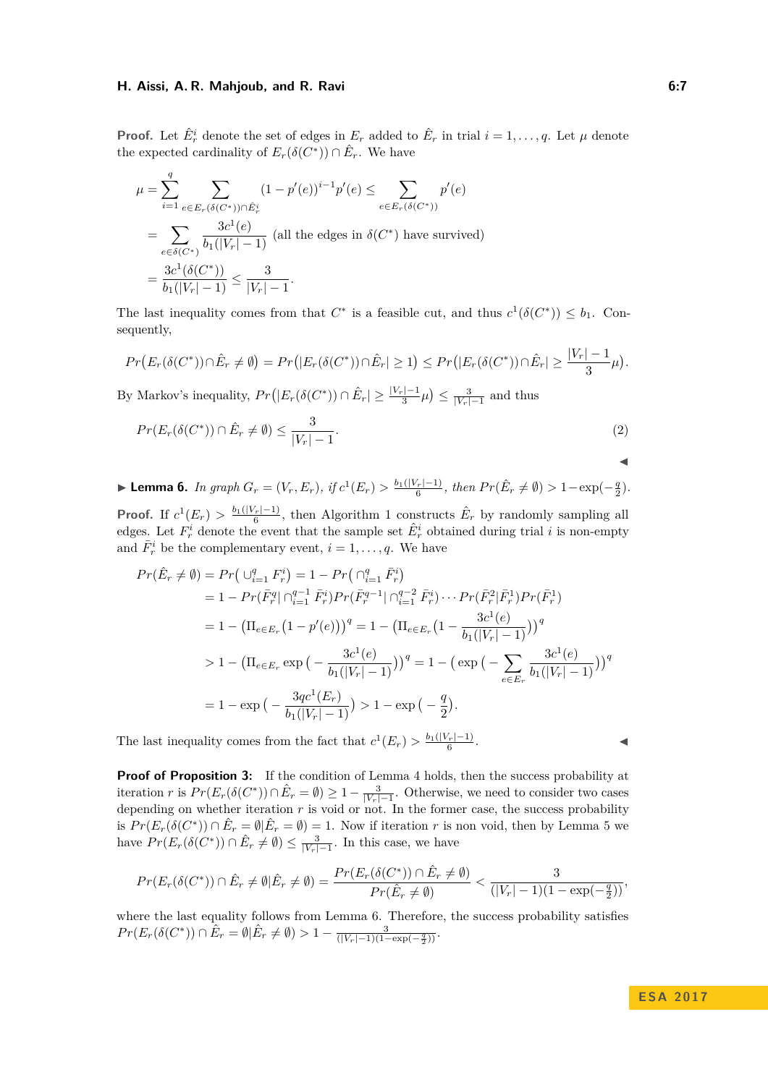#### **H. Aissi, A. R. Mahjoub, and R. Ravi 6:7**

**Proof.** Let  $\hat{E}^i_r$  denote the set of edges in  $E_r$  added to  $\hat{E}_r$  in trial  $i = 1, \ldots, q$ . Let  $\mu$  denote the expected cardinality of  $E_r(\delta(C^*)) \cap \hat{E}_r$ . We have

$$
\mu = \sum_{i=1}^{q} \sum_{e \in E_r(\delta(C^*)) \cap \hat{E}_r^i} (1 - p'(e))^{i-1} p'(e) \le \sum_{e \in E_r(\delta(C^*))} p'(e)
$$
  
= 
$$
\sum_{e \in \delta(C^*)} \frac{3c^1(e)}{b_1(|V_r| - 1)} \text{ (all the edges in } \delta(C^*) \text{ have survived)}
$$
  
= 
$$
\frac{3c^1(\delta(C^*))}{b_1(|V_r| - 1)} \le \frac{3}{|V_r| - 1}.
$$

The last inequality comes from that  $C^*$  is a feasible cut, and thus  $c^1(\delta(C^*)) \leq b_1$ . Consequently,

$$
Pr(E_r(\delta(C^*)) \cap \hat{E}_r \neq \emptyset) = Pr(|E_r(\delta(C^*)) \cap \hat{E}_r| \geq 1) \leq Pr(|E_r(\delta(C^*)) \cap \hat{E}_r| \geq \frac{|V_r| - 1}{3} \mu).
$$

By Markov's inequality,  $Pr(|E_r(\delta(C^*)) \cap \hat{E}_r| \geq \frac{|V_r| - 1}{3} \mu) \leq \frac{3}{|V_r| - 1}$  and thus

$$
Pr(E_r(\delta(C^*)) \cap \hat{E}_r \neq \emptyset) \le \frac{3}{|V_r| - 1}.
$$
\n<sup>(2)</sup>

<span id="page-6-0"></span>► Lemma 6. In graph  $G_r = (V_r, E_r)$ , if  $c^1(E_r) > \frac{b_1(|V_r|-1)}{6}$ , then  $Pr(\hat{E}_r \neq \emptyset) > 1 - \exp(-\frac{q}{2})$ . **Proof.** If  $c^1(E_r) > \frac{b_1(|V_r|-1)}{6}$ , then Algorithm [1](#page-4-2) constructs  $\hat{E}_r$  by randomly sampling all edges. Let  $F_r^i$  denote the event that the sample set  $\hat{E}_r^i$  obtained during trial *i* is non-empty and  $\bar{F}^i_r$  be the complementary event,  $i = 1, \ldots, q$ . We have

$$
Pr(\hat{E}_r \neq \emptyset) = Pr\left(\bigcup_{i=1}^q F_r^i\right) = 1 - Pr\left(\bigcap_{i=1}^q \bar{F}_r^i\right)
$$
  
\n
$$
= 1 - Pr(\bar{F}_r^q | \bigcap_{i=1}^{q-1} \bar{F}_r^i) Pr(\bar{F}_r^{q-1} | \bigcap_{i=1}^{q-2} \bar{F}_r^i) \cdots Pr(\bar{F}_r^2 | \bar{F}_r^1) Pr(\bar{F}_r^1)
$$
  
\n
$$
= 1 - \left(\Pi_{e \in E_r} \left(1 - p'(e)\right)\right)^q = 1 - \left(\Pi_{e \in E_r} \left(1 - \frac{3c^1(e)}{b_1(|V_r| - 1)}\right)\right)^q
$$
  
\n
$$
> 1 - \left(\Pi_{e \in E_r} \exp\left(-\frac{3c^1(e)}{b_1(|V_r| - 1)}\right)\right)^q = 1 - \left(\exp\left(-\sum_{e \in E_r} \frac{3c^1(e)}{b_1(|V_r| - 1)}\right)\right)^q
$$
  
\n
$$
= 1 - \exp\left(-\frac{3qc^1(E_r)}{b_1(|V_r| - 1)}\right) > 1 - \exp\left(-\frac{q}{2}\right).
$$

The last inequality comes from the fact that  $c^1(E_r) > \frac{b_1(|V_r|-1)}{6}$ 

. John J. J. J. J. J. J.

 $\blacktriangleleft$ 

**Proof of Proposition [3:](#page-5-0)** If the condition of Lemma [4](#page-5-2) holds, then the success probability at iteration *r* is  $Pr(E_r(\delta(C^*)) \cap \hat{E}_r = \emptyset) \ge 1 - \frac{3}{|V_r| - 1}$ . Otherwise, we need to consider two cases depending on whether iteration  $r$  is void or not. In the former case, the success probability is  $Pr(E_r(\delta(C^*)) \cap \hat{E}_r = \emptyset | \hat{E}_r = \emptyset) = 1$ . Now if iteration *r* is non void, then by Lemma [5](#page-5-3) we have  $Pr(E_r(\delta(C^*)) \cap \hat{E}_r \neq \emptyset) \leq \frac{3}{|V_r| - 1}$ . In this case, we have

$$
Pr(E_r(\delta(C^*)) \cap \hat{E}_r \neq \emptyset | \hat{E}_r \neq \emptyset) = \frac{Pr(E_r(\delta(C^*)) \cap \hat{E}_r \neq \emptyset)}{Pr(\hat{E}_r \neq \emptyset)} < \frac{3}{(|V_r| - 1)(1 - \exp(-\frac{q}{2}))},
$$

where the last equality follows from Lemma [6.](#page-6-0) Therefore, the success probability satisfies  $Pr(E_r(\delta(C^*)) \cap \hat{E}_r = \emptyset | \hat{E}_r \neq \emptyset) > 1 - \frac{3}{(|V_r| - 1)(1 - \exp(-\frac{q}{2}))}.$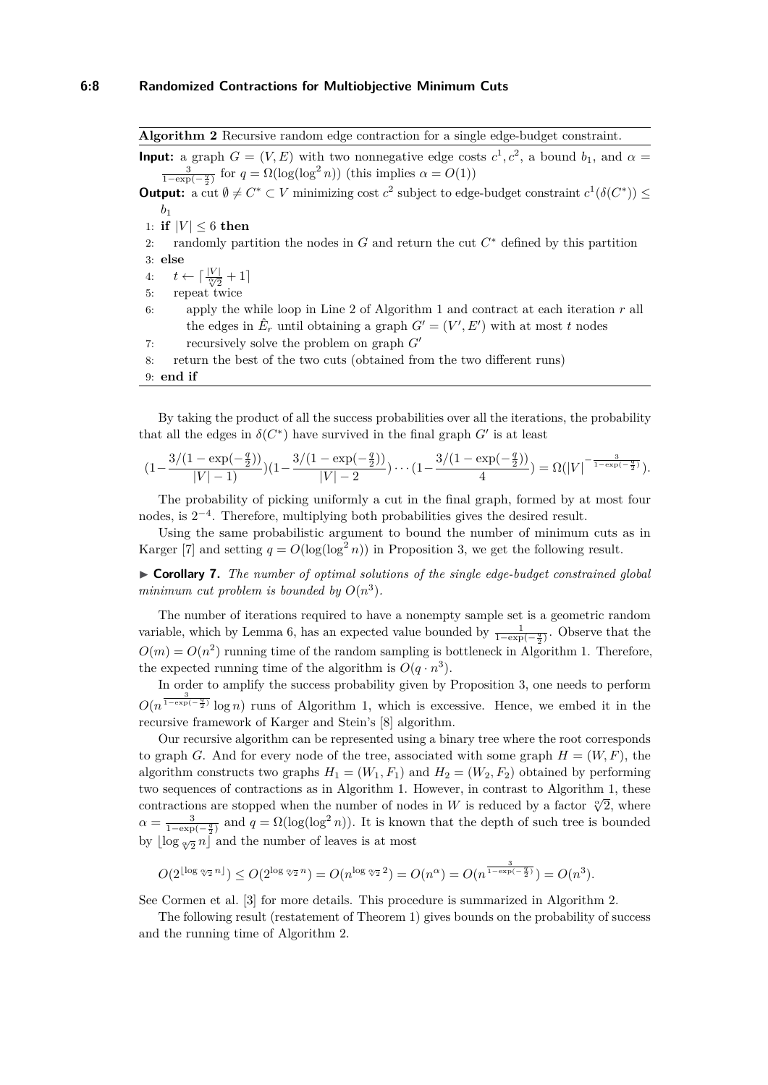<span id="page-7-0"></span>**Algorithm 2** Recursive random edge contraction for a single edge-budget constraint.

**Input:** a graph  $G = (V, E)$  with two nonnegative edge costs  $c^1, c^2$ , a bound  $b_1$ , and  $\alpha =$  $\frac{3}{1-\exp(-\frac{q}{2})}$  for  $q = \Omega(\log(\log^2 n))$  (this implies  $\alpha = O(1)$ )

**Output:** a cut  $\emptyset \neq C^* \subset V$  minimizing cost  $c^2$  subject to edge-budget constraint  $c^1(\delta(C^*)) \leq$ *b*1

1: **if**  $|V| \leq 6$  **then** 

2: randomly partition the nodes in  $G$  and return the cut  $C^*$  defined by this partition 3: **else**

4:  $t \leftarrow \lceil \frac{|V|}{\sqrt[\infty]{2}} + 1 \rceil$ 

5: repeat twice

6: apply the while loop in Line [2](#page-4-3) of Algorithm [1](#page-4-2) and contract at each iteration *r* all the edges in  $\hat{E}_r$  until obtaining a graph  $G' = (V', E')$  with at most *t* nodes

7: recursively solve the problem on graph  $G'$ 

8: return the best of the two cuts (obtained from the two different runs)

9: **end if**

By taking the product of all the success probabilities over all the iterations, the probability that all the edges in  $\delta(C^*)$  have survived in the final graph  $G'$  is at least

$$
(1-\frac{3/(1-\exp(-\frac{q}{2}))}{|V|-1})(1-\frac{3/(1-\exp(-\frac{q}{2}))}{|V|-2})\cdots(1-\frac{3/(1-\exp(-\frac{q}{2}))}{4})=\Omega(|V|^{-\frac{3}{1-\exp(-\frac{q}{2})}}).
$$

The probability of picking uniformly a cut in the final graph, formed by at most four nodes, is  $2^{-4}$ . Therefore, multiplying both probabilities gives the desired result.

Using the same probabilistic argument to bound the number of minimum cuts as in Karger [\[7\]](#page-12-0) and setting  $q = O(\log(\log^2 n))$  in Proposition [3,](#page-5-0) we get the following result.

I **Corollary 7.** *The number of optimal solutions of the single edge-budget constrained global* minimum cut problem is bounded by  $O(n^3)$ .

The number of iterations required to have a nonempty sample set is a geometric random variable, which by Lemma [6,](#page-6-0) has an expected value bounded by  $\frac{1}{1-\exp(-\frac{q}{2})}$ . Observe that the  $O(m) = O(n^2)$  running time of the random sampling is bottleneck in Algorithm [1.](#page-4-2) Therefore, the expected running time of the algorithm is  $O(q \cdot n^3)$ .

In order to amplify the success probability given by Proposition [3,](#page-5-0) one needs to perform  $O(n^{\frac{3}{1-\exp(-\frac{q}{2})}}\log n)$  runs of Algorithm [1,](#page-4-2) which is excessive. Hence, we embed it in the recursive framework of Karger and Stein's [\[8\]](#page-12-4) algorithm.

Our recursive algorithm can be represented using a binary tree where the root corresponds to graph *G*. And for every node of the tree, associated with some graph  $H = (W, F)$ , the algorithm constructs two graphs  $H_1 = (W_1, F_1)$  and  $H_2 = (W_2, F_2)$  obtained by performing two sequences of contractions as in Algorithm [1.](#page-4-2) However, in contrast to Algorithm [1,](#page-4-2) these contractions are stopped when the number of nodes in *W* is reduced by a factor  $\sqrt[\alpha]{2}$ , where  $\alpha = \frac{3}{1-\exp(-\frac{q}{2})}$  and  $q = \Omega(\log(\log^2 n))$ . It is known that the depth of such tree is bounded by  $\lfloor \log \sqrt[{\alpha}]{2}n \rfloor$  and the number of leaves is at most

$$
O(2^{\lfloor \log \alpha_2 n \rfloor}) \le O(2^{\log \alpha_2 n}) = O(n^{\log \alpha_2 2}) = O(n^{\alpha}) = O(n^{\frac{3}{1-\exp(-\frac{q}{2})}}) = O(n^3).
$$

See Cormen et al. [\[3\]](#page-12-15) for more details. This procedure is summarized in Algorithm [2.](#page-7-0)

The following result (restatement of Theorem [1\)](#page-3-0) gives bounds on the probability of success and the running time of Algorithm [2.](#page-7-0)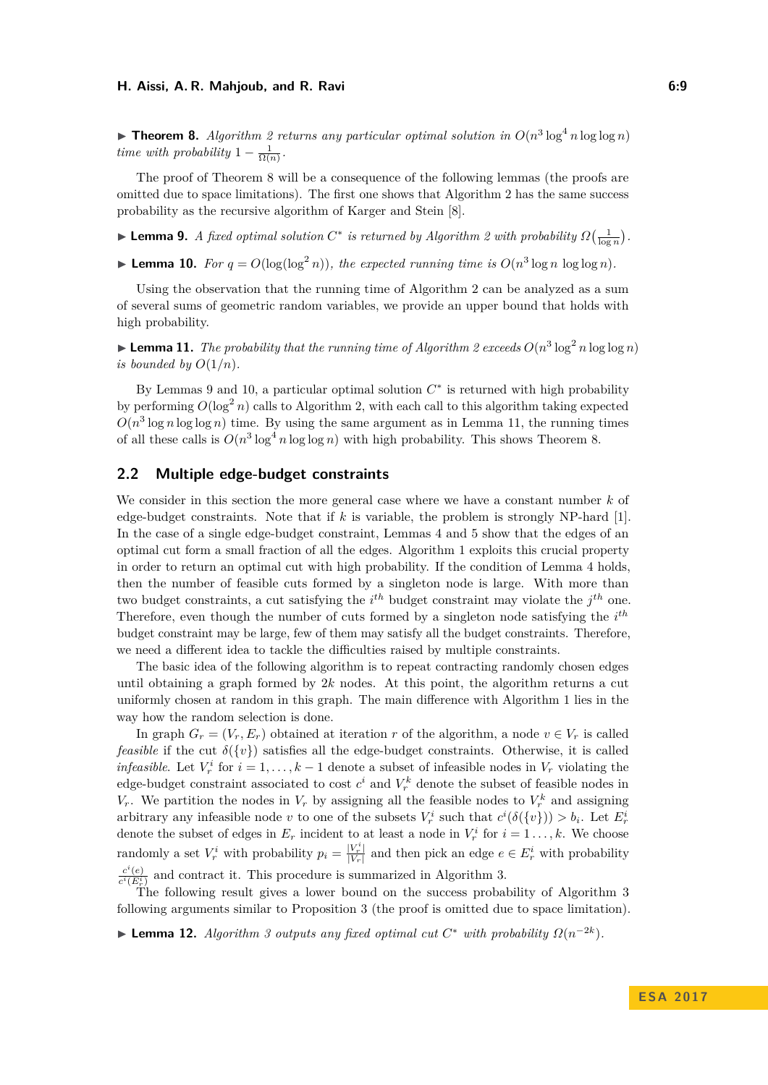<span id="page-8-2"></span>**Fineorem 8.** Algorithm [2](#page-7-0) returns any particular optimal solution in  $O(n^3 \log^4 n \log \log n)$ *time with probability*  $1 - \frac{1}{\Omega(n)}$ .

The proof of Theorem [8](#page-8-2) will be a consequence of the following lemmas (the proofs are omitted due to space limitations). The first one shows that Algorithm [2](#page-7-0) has the same success probability as the recursive algorithm of Karger and Stein [\[8\]](#page-12-4).

► Lemma 9. *A* fixed optimal solution  $C^*$  is returned by Algorithm [2](#page-7-0) with probability  $\Omega\left(\frac{1}{\log n}\right)$ .

<span id="page-8-1"></span>**Example 10.** For  $q = O(\log(\log^2 n))$ , the expected running time is  $O(n^3 \log n \log \log n)$ .

Using the observation that the running time of Algorithm [2](#page-7-0) can be analyzed as a sum of several sums of geometric random variables, we provide an upper bound that holds with high probability.

<span id="page-8-3"></span>**Example 11.** The probability that the running time of Algorithm [2](#page-7-0) exceeds  $O(n^3 \log^2 n \log \log n)$ *is bounded by*  $O(1/n)$ *.* 

By Lemmas 9 and [10,](#page-8-1) a particular optimal solution  $C^*$  is returned with high probability by performing  $O(\log^2 n)$  calls to Algorithm [2,](#page-7-0) with each call to this algorithm taking expected  $O(n^3 \log n \log \log n)$  time. By using the same argument as in Lemma [11,](#page-8-3) the running times of all these calls is  $O(n^3 \log^4 n \log \log n)$  with high probability. This shows Theorem [8.](#page-8-2)

# <span id="page-8-0"></span>**2.2 Multiple edge-budget constraints**

We consider in this section the more general case where we have a constant number *k* of edge-budget constraints. Note that if *k* is variable, the problem is strongly NP-hard [\[1\]](#page-11-0). In the case of a single edge-budget constraint, Lemmas [4](#page-5-2) and [5](#page-5-3) show that the edges of an optimal cut form a small fraction of all the edges. Algorithm [1](#page-4-2) exploits this crucial property in order to return an optimal cut with high probability. If the condition of Lemma [4](#page-5-2) holds, then the number of feasible cuts formed by a singleton node is large. With more than two budget constraints, a cut satisfying the *i th* budget constraint may violate the *j th* one. Therefore, even though the number of cuts formed by a singleton node satisfying the *i th* budget constraint may be large, few of them may satisfy all the budget constraints. Therefore, we need a different idea to tackle the difficulties raised by multiple constraints.

The basic idea of the following algorithm is to repeat contracting randomly chosen edges until obtaining a graph formed by 2*k* nodes. At this point, the algorithm returns a cut uniformly chosen at random in this graph. The main difference with Algorithm [1](#page-4-2) lies in the way how the random selection is done.

In graph  $G_r = (V_r, E_r)$  obtained at iteration *r* of the algorithm, a node  $v \in V_r$  is called *feasible* if the cut  $\delta({v})$  satisfies all the edge-budget constraints. Otherwise, it is called *infeasible*. Let  $V_r^i$  for  $i = 1, ..., k - 1$  denote a subset of infeasible nodes in  $V_r$  violating the edge-budget constraint associated to cost  $c^i$  and  $V_r^k$  denote the subset of feasible nodes in *V<sub>r</sub>*. We partition the nodes in  $V_r$  by assigning all the feasible nodes to  $V_r^k$  and assigning arbitrary any infeasible node *v* to one of the subsets  $V_r^i$  such that  $c^i(\delta({v}) > b_i$ . Let  $E_r^i$ denote the subset of edges in  $E_r$  incident to at least a node in  $V_r^i$  for  $i = 1 \ldots, k$ . We choose randomly a set  $V_r^i$  with probability  $p_i = \frac{|V_r^i|}{|V_r|}$  $\frac{|V_r|}{|V_r|}$  and then pick an edge  $e \in E_r^i$  with probability  $c^i(e)$  $\frac{c}{c^i(E_r^i)}$  and contract it. This procedure is summarized in Algorithm [3.](#page-9-2)

The following result gives a lower bound on the success probability of Algorithm [3](#page-9-2) following arguments similar to Proposition [3](#page-5-0) (the proof is omitted due to space limitation).

<span id="page-8-4"></span>► Lemma 12. *Algorithm [3](#page-9-2) outputs any fixed optimal cut*  $C^*$  *with probability*  $\Omega(n^{-2k})$ *.*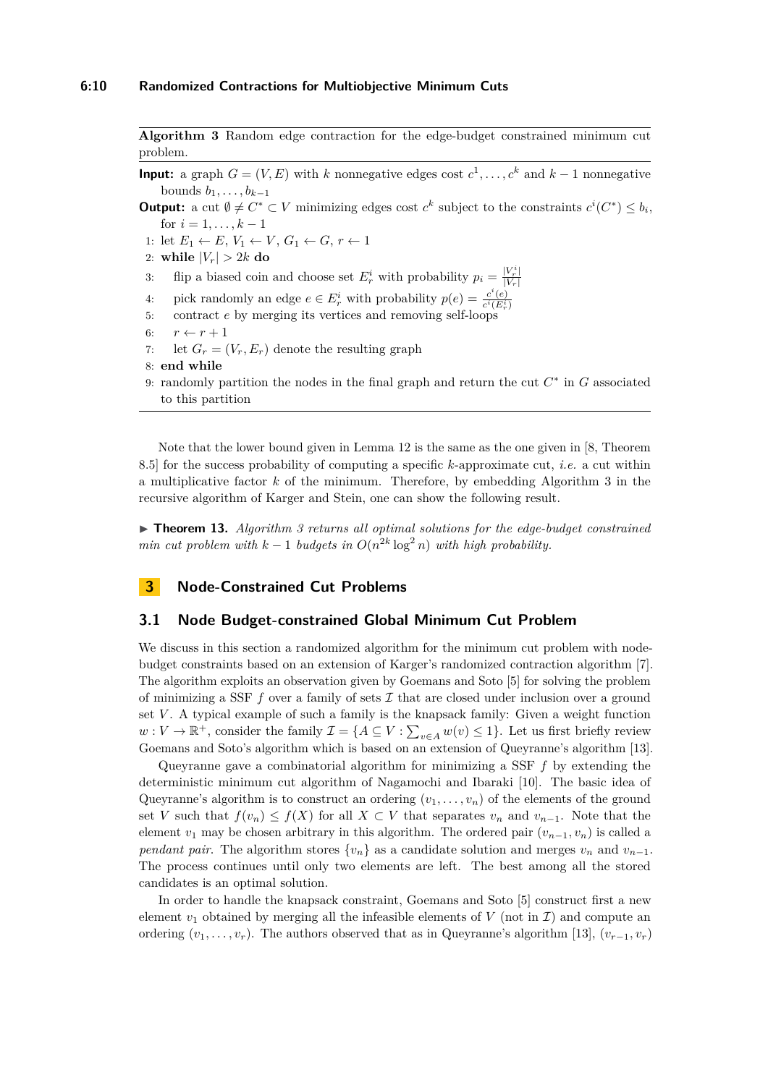<span id="page-9-2"></span>**Algorithm 3** Random edge contraction for the edge-budget constrained minimum cut problem.

**Input:** a graph  $G = (V, E)$  with *k* nonnegative edges cost  $c^1, \ldots, c^k$  and  $k - 1$  nonnegative bounds  $b_1, \ldots, b_{k-1}$ 

**Output:** a cut  $\emptyset \neq C^* \subset V$  minimizing edges cost  $c^k$  subject to the constraints  $c^i(C^*) \leq b_i$ , for  $i = 1, \ldots, k - 1$ 

1: let  $E_1 \leftarrow E$ ,  $V_1 \leftarrow V$ ,  $G_1 \leftarrow G$ ,  $r \leftarrow 1$ 

- 2: while  $|V_r| > 2k$  do
- 3: flip a biased coin and choose set  $E_r^i$  with probability  $p_i = \frac{|V_r^i|}{|V_r|}$  $|V_r|$
- 4: pick randomly an edge  $e \in E_r^i$  with probability  $p(e) = \frac{c^i(e)}{c^i(E_r^i)}$  $\overline{c^i(E_r^i)}$
- 5: contract *e* by merging its vertices and removing self-loops
- 6:  $r \leftarrow r + 1$
- 7: let  $G_r = (V_r, E_r)$  denote the resulting graph
- 8: **end while**
- 9: randomly partition the nodes in the final graph and return the cut  $C^*$  in *G* associated to this partition

Note that the lower bound given in Lemma [12](#page-8-4) is the same as the one given in [\[8,](#page-12-4) Theorem 8.5] for the success probability of computing a specific *k*-approximate cut, *i.e.* a cut within a multiplicative factor *k* of the minimum. Therefore, by embedding Algorithm [3](#page-9-2) in the recursive algorithm of Karger and Stein, one can show the following result.

<span id="page-9-0"></span>▶ **Theorem 13.** *Algorithm [3](#page-9-2) returns all optimal solutions for the edge-budget constrained min cut problem with*  $k-1$  *budgets in*  $O(n^{2k} \log^2 n)$  *with high probability.* 

# <span id="page-9-1"></span>**3 Node-Constrained Cut Problems**

### **3.1 Node Budget-constrained Global Minimum Cut Problem**

We discuss in this section a randomized algorithm for the minimum cut problem with nodebudget constraints based on an extension of Karger's randomized contraction algorithm [\[7\]](#page-12-0). The algorithm exploits an observation given by Goemans and Soto [\[5\]](#page-12-1) for solving the problem of minimizing a SSF  $f$  over a family of sets  $\mathcal I$  that are closed under inclusion over a ground set *V* . A typical example of such a family is the knapsack family: Given a weight function  $w: V \to \mathbb{R}^+$ , consider the family  $\mathcal{I} = \{A \subseteq V : \sum_{v \in A} w(v) \leq 1\}$ . Let us first briefly review Goemans and Soto's algorithm which is based on an extension of Queyranne's algorithm [\[13\]](#page-12-8).

Queyranne gave a combinatorial algorithm for minimizing a SSF *f* by extending the deterministic minimum cut algorithm of Nagamochi and Ibaraki [\[10\]](#page-12-9). The basic idea of Queyranne's algorithm is to construct an ordering  $(v_1, \ldots, v_n)$  of the elements of the ground set *V* such that  $f(v_n) \leq f(X)$  for all  $X \subset V$  that separates  $v_n$  and  $v_{n-1}$ . Note that the element  $v_1$  may be chosen arbitrary in this algorithm. The ordered pair  $(v_{n-1}, v_n)$  is called a *pendant pair.* The algorithm stores  $\{v_n\}$  as a candidate solution and merges  $v_n$  and  $v_{n-1}$ . The process continues until only two elements are left. The best among all the stored candidates is an optimal solution.

In order to handle the knapsack constraint, Goemans and Soto [\[5\]](#page-12-1) construct first a new element  $v_1$  obtained by merging all the infeasible elements of V (not in  $\mathcal I$ ) and compute an ordering  $(v_1, \ldots, v_r)$ . The authors observed that as in Queyranne's algorithm [\[13\]](#page-12-8),  $(v_{r-1}, v_r)$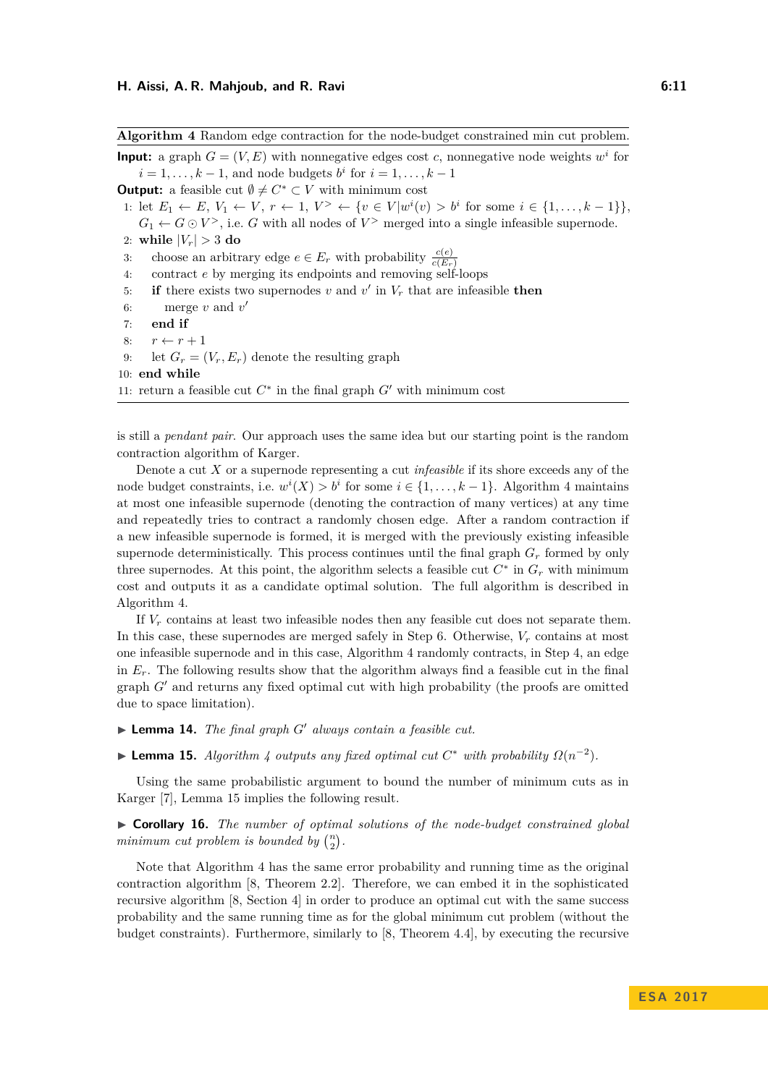<span id="page-10-2"></span>**Input:** a graph  $G = (V, E)$  with nonnegative edges cost *c*, nonnegative node weights  $w<sup>i</sup>$  for  $i = 1, \ldots, k - 1$ , and node budgets  $b^i$  for  $i = 1, \ldots, k - 1$ **Output:** a feasible cut  $\emptyset \neq C^* \subset V$  with minimum cost 1: let  $E_1 \leftarrow E, V_1 \leftarrow V, r \leftarrow 1, V^> \leftarrow \{v \in V | w^i(v) > b^i \text{ for some } i \in \{1, ..., k-1\} \},\$  $G_1 \leftarrow G \odot V^>$ , i.e. *G* with all nodes of  $V^>$  merged into a single infeasible supernode. 2: while  $|V_r| > 3$  do 3: choose an arbitrary edge  $e \in E_r$  with probability  $\frac{c(e)}{c(E_r)}$ 4: contract *e* by merging its endpoints and removing self-loops 5: **if** there exists two supernodes *v* and  $v'$  in  $V_r$  that are infeasible **then** 6: merge  $v$  and  $v'$ 7: **end if** 8:  $r \leftarrow r + 1$ 9: let  $G_r = (V_r, E_r)$  denote the resulting graph 10: **end while** 11: return a feasible cut  $C^*$  in the final graph  $G'$  with minimum cost

<span id="page-10-0"></span>**Algorithm 4** Random edge contraction for the node-budget constrained min cut problem.

<span id="page-10-1"></span>is still a *pendant pair*. Our approach uses the same idea but our starting point is the random contraction algorithm of Karger.

Denote a cut *X* or a supernode representing a cut *infeasible* if its shore exceeds any of the node budget constraints, i.e.  $w^{i}(X) > b^{i}$  for some  $i \in \{1, ..., k-1\}$ . Algorithm [4](#page-10-0) maintains at most one infeasible supernode (denoting the contraction of many vertices) at any time and repeatedly tries to contract a randomly chosen edge. After a random contraction if a new infeasible supernode is formed, it is merged with the previously existing infeasible supernode deterministically. This process continues until the final graph  $G_r$  formed by only three supernodes. At this point, the algorithm selects a feasible cut  $C^*$  in  $G_r$  with minimum cost and outputs it as a candidate optimal solution. The full algorithm is described in Algorithm [4.](#page-10-0)

If *V<sup>r</sup>* contains at least two infeasible nodes then any feasible cut does not separate them. In this case, these supernodes are merged safely in Step [6.](#page-10-1) Otherwise, *V<sup>r</sup>* contains at most one infeasible supernode and in this case, Algorithm [4](#page-10-0) randomly contracts, in Step [4,](#page-10-2) an edge in  $E_r$ . The following results show that the algorithm always find a feasible cut in the final graph  $G<sup>0</sup>$  and returns any fixed optimal cut with high probability (the proofs are omitted due to space limitation).

 $\blacktriangleright$  **Lemma 14.** *The final graph G' always contain a feasible cut.* 

<span id="page-10-3"></span>► **Lemma 15.** *Algorithm [4](#page-10-0) outputs any fixed optimal cut*  $C^*$  *with probability*  $\Omega(n^{-2})$ *.* 

Using the same probabilistic argument to bound the number of minimum cuts as in Karger [\[7\]](#page-12-0), Lemma [15](#page-10-3) implies the following result.

I **Corollary 16.** *The number of optimal solutions of the node-budget constrained global* minimum cut problem is bounded by  $\binom{n}{2}$ .

Note that Algorithm [4](#page-10-0) has the same error probability and running time as the original contraction algorithm [\[8,](#page-12-4) Theorem 2.2]. Therefore, we can embed it in the sophisticated recursive algorithm [\[8,](#page-12-4) Section 4] in order to produce an optimal cut with the same success probability and the same running time as for the global minimum cut problem (without the budget constraints). Furthermore, similarly to [\[8,](#page-12-4) Theorem 4.4], by executing the recursive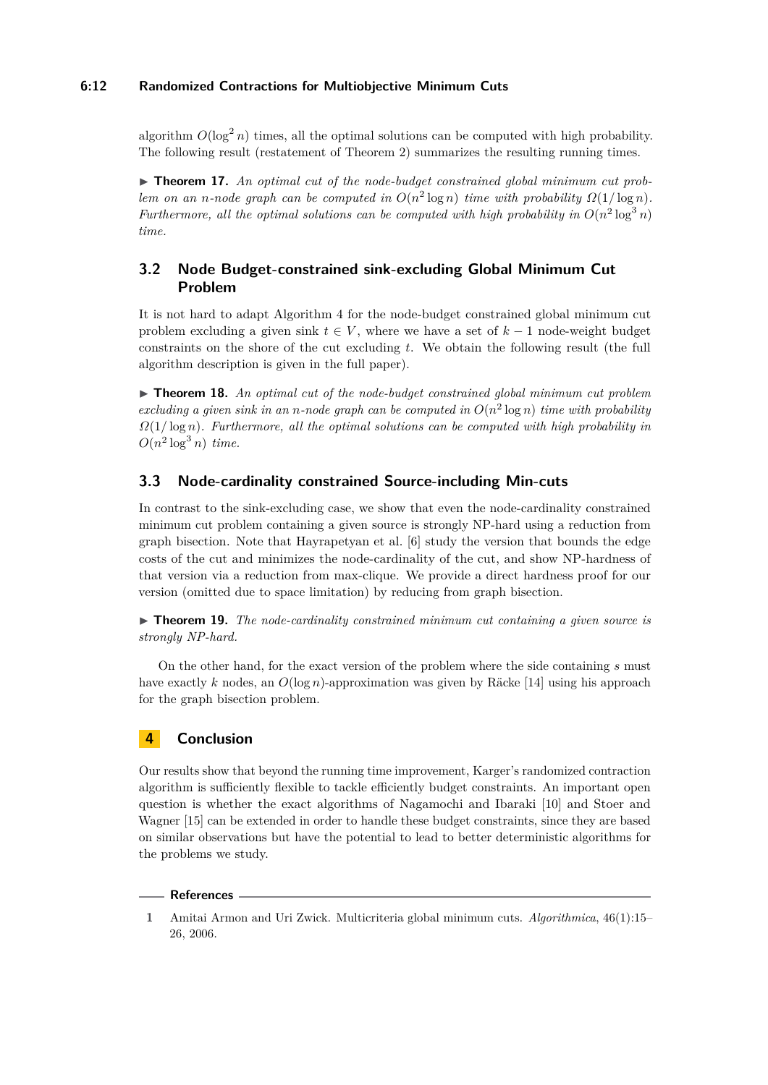# **6:12 Randomized Contractions for Multiobjective Minimum Cuts**

algorithm  $O(\log^2 n)$  times, all the optimal solutions can be computed with high probability. The following result (restatement of Theorem [2\)](#page-3-1) summarizes the resulting running times.

<span id="page-11-1"></span>▶ **Theorem 17.** An optimal cut of the node-budget constrained global minimum cut prob*lem on an n*-node graph can be computed in  $O(n^2 \log n)$  *time with probability*  $\Omega(1/\log n)$ *. Furthermore, all the optimal solutions can be computed with high probability in*  $O(n^2 \log^3 n)$ *time.*

# **3.2 Node Budget-constrained sink-excluding Global Minimum Cut Problem**

It is not hard to adapt Algorithm [4](#page-10-0) for the node-budget constrained global minimum cut problem excluding a given sink  $t \in V$ , where we have a set of  $k-1$  node-weight budget constraints on the shore of the cut excluding *t*. We obtain the following result (the full algorithm description is given in the full paper).

<span id="page-11-2"></span>▶ **Theorem 18.** An optimal cut of the node-budget constrained global minimum cut problem excluding a given sink in an *n*-node graph can be computed in  $O(n^2 \log n)$  time with probability *Ω*(1*/* log *n*)*. Furthermore, all the optimal solutions can be computed with high probability in*  $O(n^2 \log^3 n)$  *time.* 

# **3.3 Node-cardinality constrained Source-including Min-cuts**

In contrast to the sink-excluding case, we show that even the node-cardinality constrained minimum cut problem containing a given source is strongly NP-hard using a reduction from graph bisection. Note that Hayrapetyan et al. [\[6\]](#page-12-11) study the version that bounds the edge costs of the cut and minimizes the node-cardinality of the cut, and show NP-hardness of that version via a reduction from max-clique. We provide a direct hardness proof for our version (omitted due to space limitation) by reducing from graph bisection.

<span id="page-11-3"></span>▶ **Theorem 19.** *The node-cardinality constrained minimum cut containing a given source is strongly NP-hard.*

On the other hand, for the exact version of the problem where the side containing *s* must have exactly *k* nodes, an *O*(log *n*)-approximation was given by Räcke [\[14\]](#page-12-14) using his approach for the graph bisection problem.

# **4 Conclusion**

Our results show that beyond the running time improvement, Karger's randomized contraction algorithm is sufficiently flexible to tackle efficiently budget constraints. An important open question is whether the exact algorithms of Nagamochi and Ibaraki [\[10\]](#page-12-9) and Stoer and Wagner [\[15\]](#page-12-16) can be extended in order to handle these budget constraints, since they are based on similar observations but have the potential to lead to better deterministic algorithms for the problems we study.

#### **References**

<span id="page-11-0"></span>**<sup>1</sup>** Amitai Armon and Uri Zwick. Multicriteria global minimum cuts. *Algorithmica*, 46(1):15– 26, 2006.